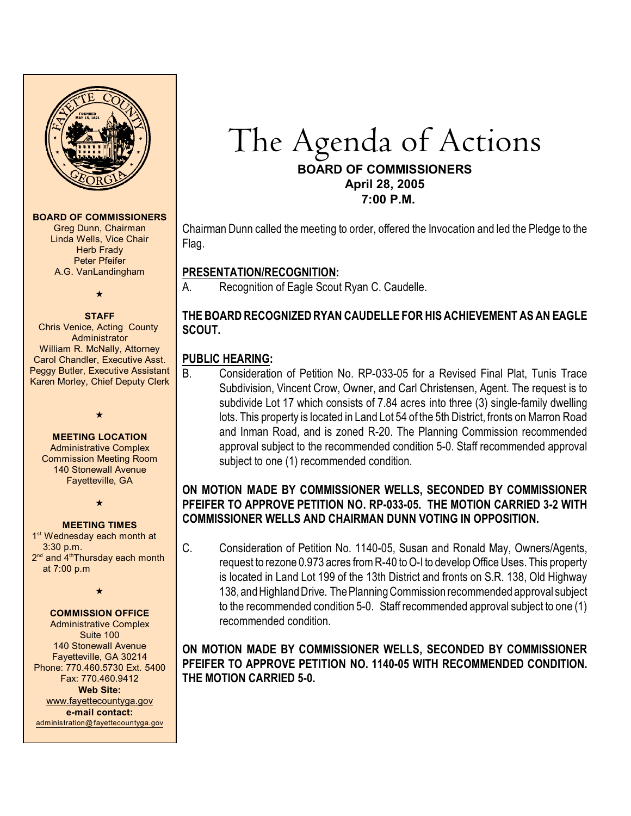

#### **BOARD OF COMMISSIONERS**

Greg Dunn, Chairman Linda Wells, Vice Chair **Herb Frady** Peter Pfeifer A.G. VanLandingham

# $\bigstar$

**STAFF** Chris Venice, Acting County Administrator William R. McNally, Attorney Carol Chandler, Executive Asst. Peggy Butler, Executive Assistant Karen Morley, Chief Deputy Clerk

#### **MEETING LOCATION**

 $\star$ 

Administrative Complex Commission Meeting Room 140 Stonewall Avenue Fayetteville, GA

 $\star$ 

#### **MEETING TIMES**

1<sup>st</sup> Wednesday each month at 3:30 p.m. 2<sup>nd</sup> and 4<sup>th</sup>Thursday each month at 7:00 p.m

 $\star$ 

#### **COMMISSION OFFICE**

Administrative Complex Suite 100 140 Stonewall Avenue Fayetteville, GA 30214 Phone: 770.460.5730 Ext. 5400 Fax: 770.460.9412 **Web Site:** [www.fayettecountyga.gov](http://www.admin.co.fayette.ga.us) **e-mail contact:** [administration@fayettecountyga.gov](mailto:administration@fayettecountyga.gov)

# The Agenda of Actions **BOARD OF COMMISSIONERS April 28, 2005**

 **7:00 P.M.**

Chairman Dunn called the meeting to order, offered the Invocation and led the Pledge to the Flag.

# **PRESENTATION/RECOGNITION:**

A. Recognition of Eagle Scout Ryan C. Caudelle.

## **THE BOARD RECOGNIZED RYAN CAUDELLE FOR HIS ACHIEVEMENT AS AN EAGLE SCOUT.**

# **PUBLIC HEARING:**

B. Consideration of Petition No. RP-033-05 for a Revised Final Plat, Tunis Trace Subdivision, Vincent Crow, Owner, and Carl Christensen, Agent. The request is to subdivide Lot 17 which consists of 7.84 acres into three (3) single-family dwelling lots. This property is located in Land Lot 54 of the 5th District, fronts on Marron Road and Inman Road, and is zoned R-20. The Planning Commission recommended approval subject to the recommended condition 5-0. Staff recommended approval subject to one (1) recommended condition.

### **ON MOTION MADE BY COMMISSIONER WELLS, SECONDED BY COMMISSIONER PFEIFER TO APPROVE PETITION NO. RP-033-05. THE MOTION CARRIED 3-2 WITH COMMISSIONER WELLS AND CHAIRMAN DUNN VOTING IN OPPOSITION.**

C. Consideration of Petition No. 1140-05, Susan and Ronald May, Owners/Agents, request to rezone 0.973 acres from R-40 to O-I to develop Office Uses. This property is located in Land Lot 199 of the 13th District and fronts on S.R. 138, Old Highway 138, and Highland Drive. The Planning Commission recommended approval subject to the recommended condition 5-0. Staff recommended approval subject to one (1) recommended condition.

#### **ON MOTION MADE BY COMMISSIONER WELLS, SECONDED BY COMMISSIONER PFEIFER TO APPROVE PETITION NO. 1140-05 WITH RECOMMENDED CONDITION. THE MOTION CARRIED 5-0.**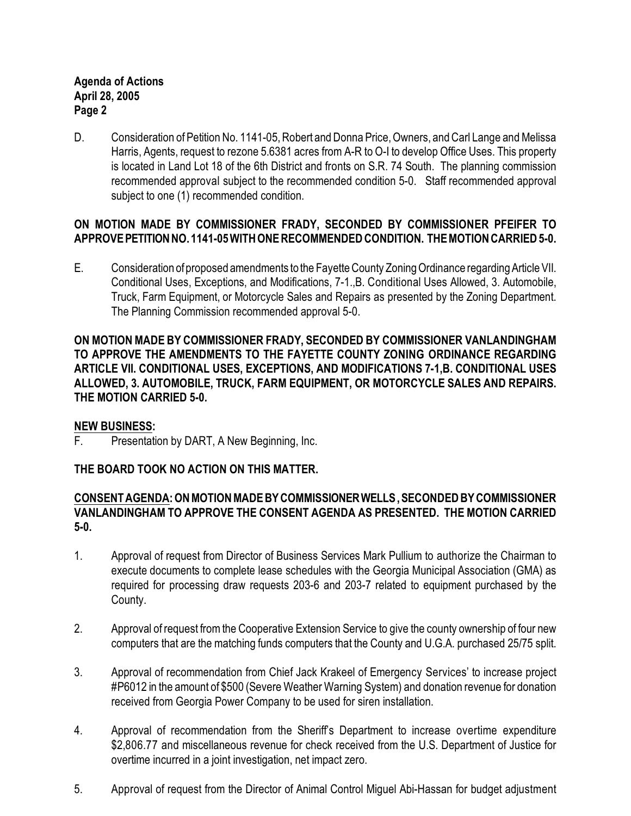#### **Agenda of Actions April 28, 2005 Page 2**

D. Consideration of Petition No. 1141-05, Robert and Donna Price, Owners, and Carl Lange and Melissa Harris, Agents, request to rezone 5.6381 acres from A-R to O-I to develop Office Uses. This property is located in Land Lot 18 of the 6th District and fronts on S.R. 74 South. The planning commission recommended approval subject to the recommended condition 5-0. Staff recommended approval subject to one (1) recommended condition.

### **ON MOTION MADE BY COMMISSIONER FRADY, SECONDED BY COMMISSIONER PFEIFER TO APPROVE PETITION NO. 1141-05 WITH ONE RECOMMENDED CONDITION. THE MOTION CARRIED 5-0.**

E. Consideration of proposed amendments to the Fayette County Zoning Ordinance regarding Article VII. Conditional Uses, Exceptions, and Modifications, 7-1.,B. Conditional Uses Allowed, 3. Automobile, Truck, Farm Equipment, or Motorcycle Sales and Repairs as presented by the Zoning Department. The Planning Commission recommended approval 5-0.

**ON MOTION MADE BY COMMISSIONER FRADY, SECONDED BY COMMISSIONER VANLANDINGHAM TO APPROVE THE AMENDMENTS TO THE FAYETTE COUNTY ZONING ORDINANCE REGARDING ARTICLE VII. CONDITIONAL USES, EXCEPTIONS, AND MODIFICATIONS 7-1,B. CONDITIONAL USES ALLOWED, 3. AUTOMOBILE, TRUCK, FARM EQUIPMENT, OR MOTORCYCLE SALES AND REPAIRS. THE MOTION CARRIED 5-0.** 

#### **NEW BUSINESS:**

F. Presentation by DART, A New Beginning, Inc.

#### **THE BOARD TOOK NO ACTION ON THIS MATTER.**

#### **CONSENT AGENDA: ON MOTION MADE BY COMMISSIONER WELLS , SECONDED BY COMMISSIONER VANLANDINGHAM TO APPROVE THE CONSENT AGENDA AS PRESENTED. THE MOTION CARRIED 5-0.**

- 1. Approval of request from Director of Business Services Mark Pullium to authorize the Chairman to execute documents to complete lease schedules with the Georgia Municipal Association (GMA) as required for processing draw requests 203-6 and 203-7 related to equipment purchased by the County.
- 2. Approval of request from the Cooperative Extension Service to give the county ownership of four new computers that are the matching funds computers that the County and U.G.A. purchased 25/75 split.
- 3. Approval of recommendation from Chief Jack Krakeel of Emergency Services' to increase project #P6012 in the amount of \$500 (Severe Weather Warning System) and donation revenue for donation received from Georgia Power Company to be used for siren installation.
- 4. Approval of recommendation from the Sheriff's Department to increase overtime expenditure \$2,806.77 and miscellaneous revenue for check received from the U.S. Department of Justice for overtime incurred in a joint investigation, net impact zero.
- 5. Approval of request from the Director of Animal Control Miguel Abi-Hassan for budget adjustment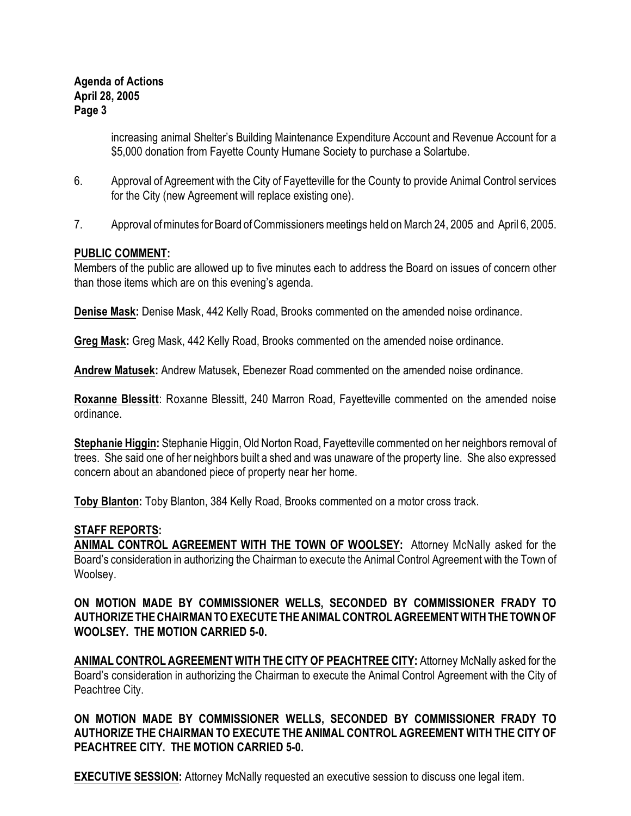#### **Agenda of Actions April 28, 2005 Page 3**

increasing animal Shelter's Building Maintenance Expenditure Account and Revenue Account for a \$5,000 donation from Fayette County Humane Society to purchase a Solartube.

- 6. Approval of Agreement with the City of Fayetteville for the County to provide Animal Control services for the City (new Agreement will replace existing one).
- 7. Approval ofminutes for Board ofCommissioners meetings held on March 24, 2005 and April 6, 2005.

#### **PUBLIC COMMENT:**

Members of the public are allowed up to five minutes each to address the Board on issues of concern other than those items which are on this evening's agenda.

**Denise Mask:** Denise Mask, 442 Kelly Road, Brooks commented on the amended noise ordinance.

**Greg Mask:** Greg Mask, 442 Kelly Road, Brooks commented on the amended noise ordinance.

**Andrew Matusek:** Andrew Matusek, Ebenezer Road commented on the amended noise ordinance.

**Roxanne Blessitt**: Roxanne Blessitt, 240 Marron Road, Fayetteville commented on the amended noise ordinance.

**Stephanie Higgin:** Stephanie Higgin,Old Norton Road, Fayetteville commented on her neighbors removal of trees. She said one of her neighbors built a shed and was unaware of the property line. She also expressed concern about an abandoned piece of property near her home.

**Toby Blanton:** Toby Blanton, 384 Kelly Road, Brooks commented on a motor cross track.

#### **STAFF REPORTS:**

**ANIMAL CONTROL AGREEMENT WITH THE TOWN OF WOOLSEY:** Attorney McNally asked for the Board's consideration in authorizing the Chairman to execute the Animal Control Agreement with the Town of Woolsey.

#### **ON MOTION MADE BY COMMISSIONER WELLS, SECONDED BY COMMISSIONER FRADY TO AUTHORIZE THE CHAIRMAN TO EXECUTETHEANIMAL CONTROL AGREEMENT WITH THE TOWN OF WOOLSEY. THE MOTION CARRIED 5-0.**

**ANIMAL CONTROL AGREEMENT WITH THE CITY OF PEACHTREE CITY:** Attorney McNally asked for the Board's consideration in authorizing the Chairman to execute the Animal Control Agreement with the City of Peachtree City.

**ON MOTION MADE BY COMMISSIONER WELLS, SECONDED BY COMMISSIONER FRADY TO AUTHORIZE THE CHAIRMAN TO EXECUTE THE ANIMAL CONTROL AGREEMENT WITH THE CITY OF PEACHTREE CITY. THE MOTION CARRIED 5-0.**

**EXECUTIVE SESSION:** Attorney McNally requested an executive session to discuss one legal item.